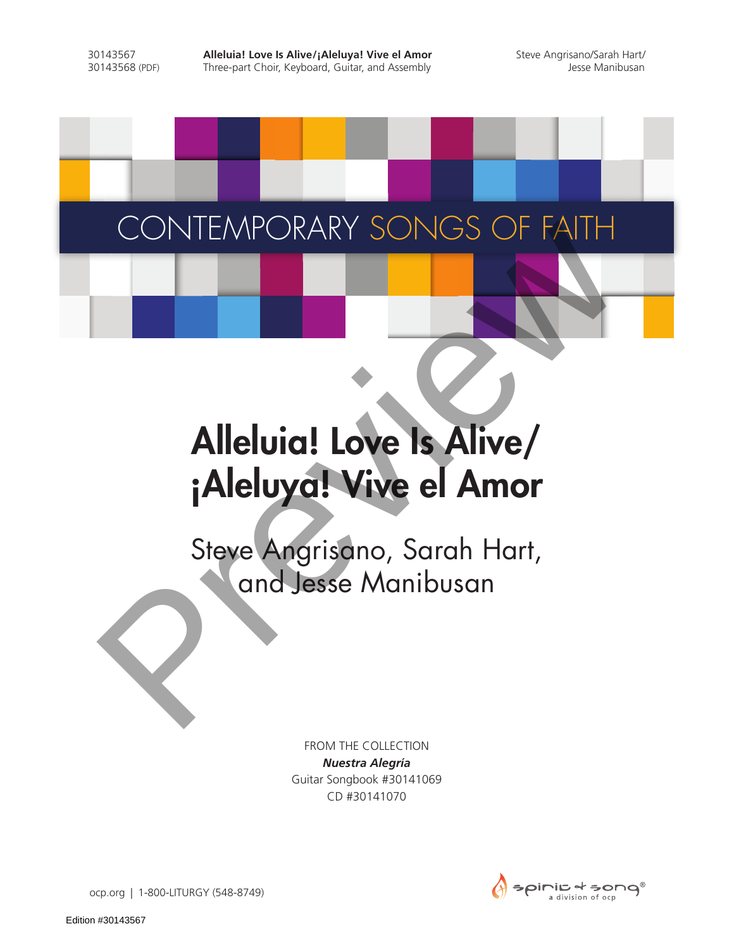30143567 **Alleluia! Love Is Alive/¡Aleluya! Vive el Amor** Steve Angrisano/Sarah Hart/<br>30143568 (PDF) Three-part Choir, Keyboard, Guitar, and Assembly and Assembly Three-part Choir, Keyboard, Guitar, and Assembly

## CONTEMPORARY SONGS OF FAITH

## Alleluia! Love Is Alive/ ¡Aleluya! Vive el Amor CONTEMPORARY SONGS OF FAITH<br>
Alleluig! Love Is Alive/<br>
¡Aleluyg! Vive el Amor<br>
Steve Angrisano, Sarah Hart,<br>
and Jesse Manibusan

Steve Angrisano, Sarah Hart,

FROM THE COLLECTION *Nuestra Alegría* Guitar Songbook #30141069 CD #30141070



ocp.org | 1-800-LITURGY (548-8749)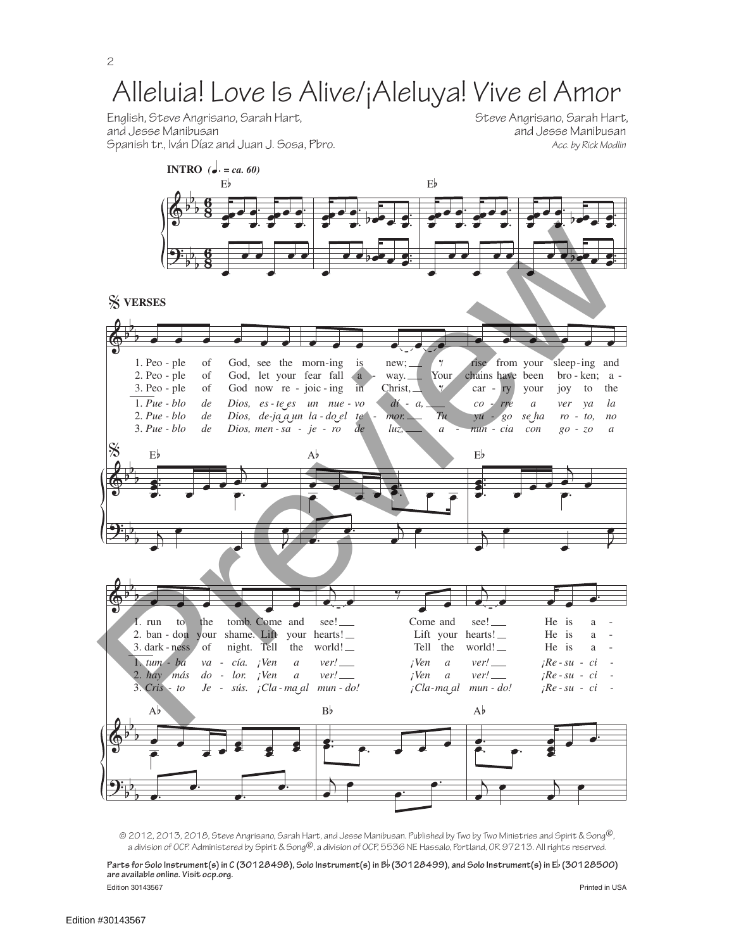**INTRO** *(*q*. = ca. 60)* English, Steve Angrisano, Sarah Hart, Steve Angrisano, Sarah Hart, Steve Angrisano, Sarah Hart,

and Jesse Manibusan<br>Acc. by Rick Modlin



e<br>2012, 2013, 2018, Steve Angrisano, Sarah Hart, and Jesse Manibusan. Published by Two by Two Ministries and Spirit & Song®, a division of OCP. Administered by Spirit & Song®, a division of OCP, 5536 NE Hassalo, Portland, OR 97213. All rights reserved. l.  $\epsilon$ 

Edition 30143567 Printed in USA **Parts for Solo Instrument(s) in C (30128498), Solo Instrument(s) in B**b **(30128499), and Solo Instrument(s) in E**b **(30128500) are available online. Visit ocp.org.**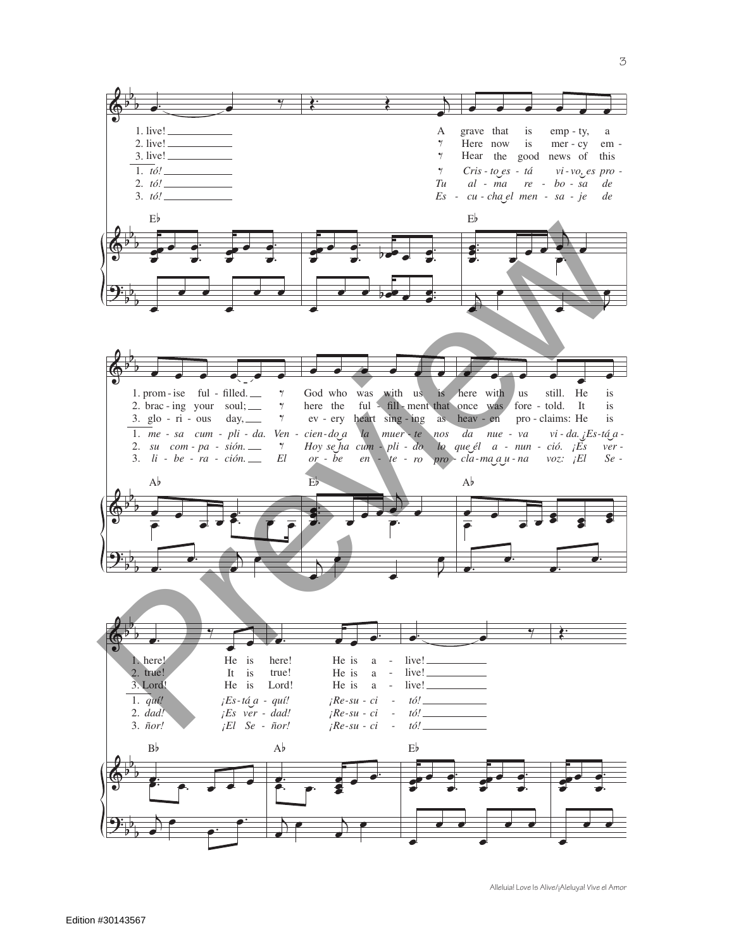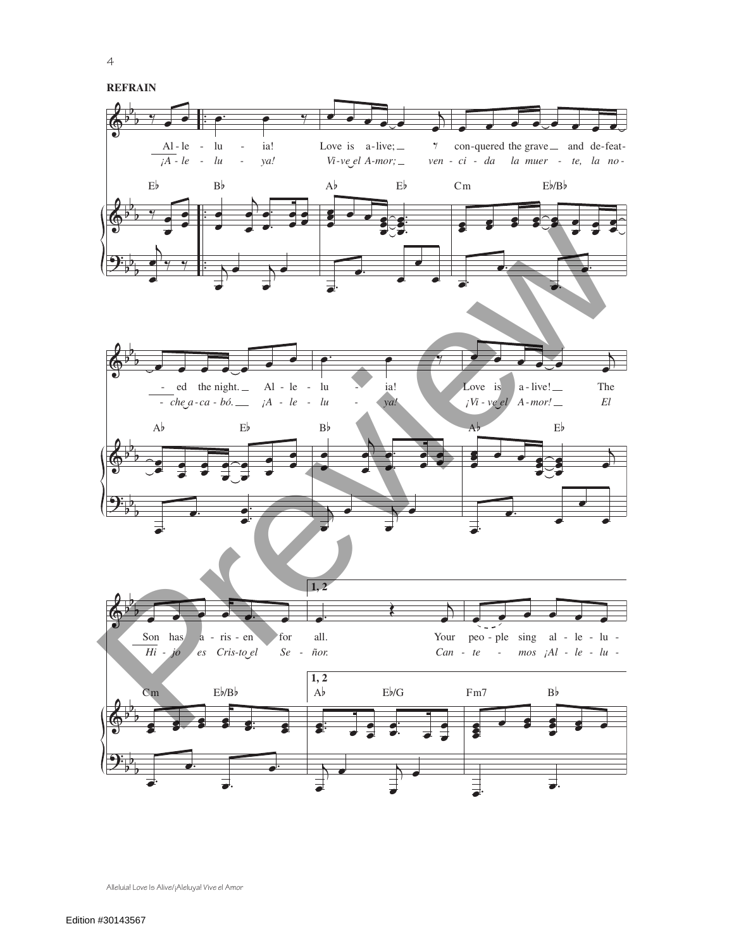

4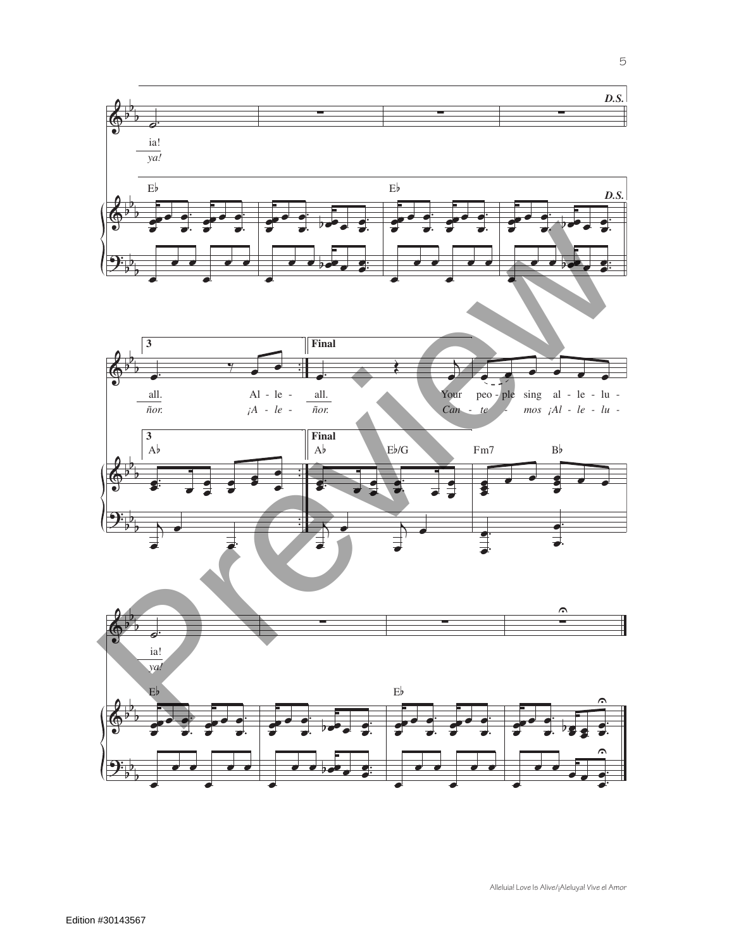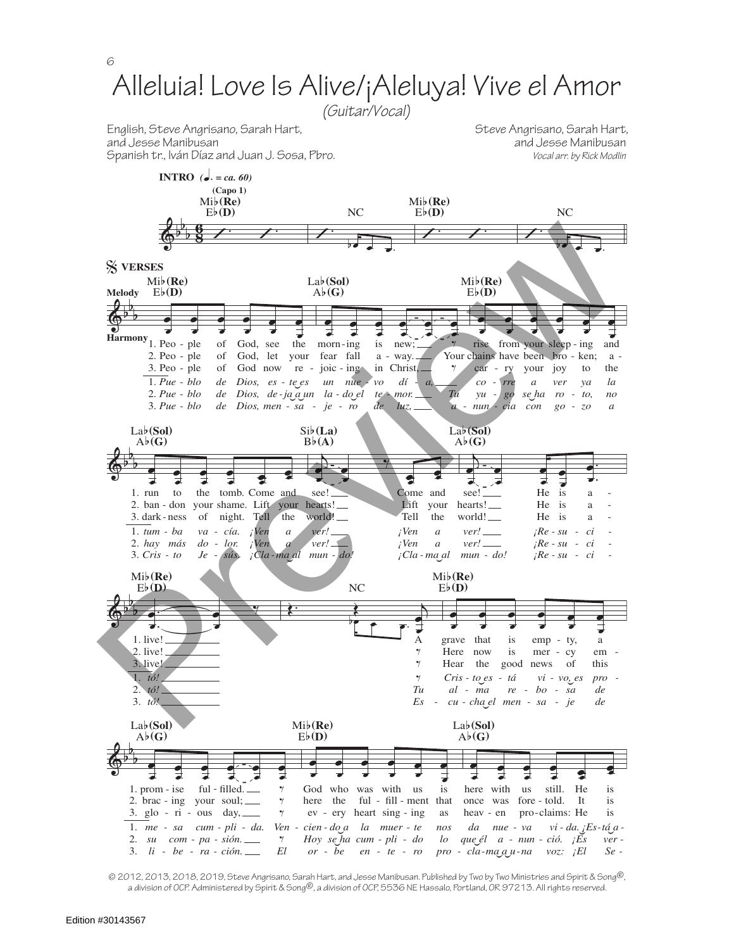

© 2012, 2013, 2018, 2019, Steve Angrisano, Sarah Hart, and Jesse Manibusan. Published by Two by Two Ministries and Spirit & Song®, a division of OCP. Administered by Spirit & Song®, a division of OCP, 5536 NE Hassalo, Portland, OR 97213. All rights reserved.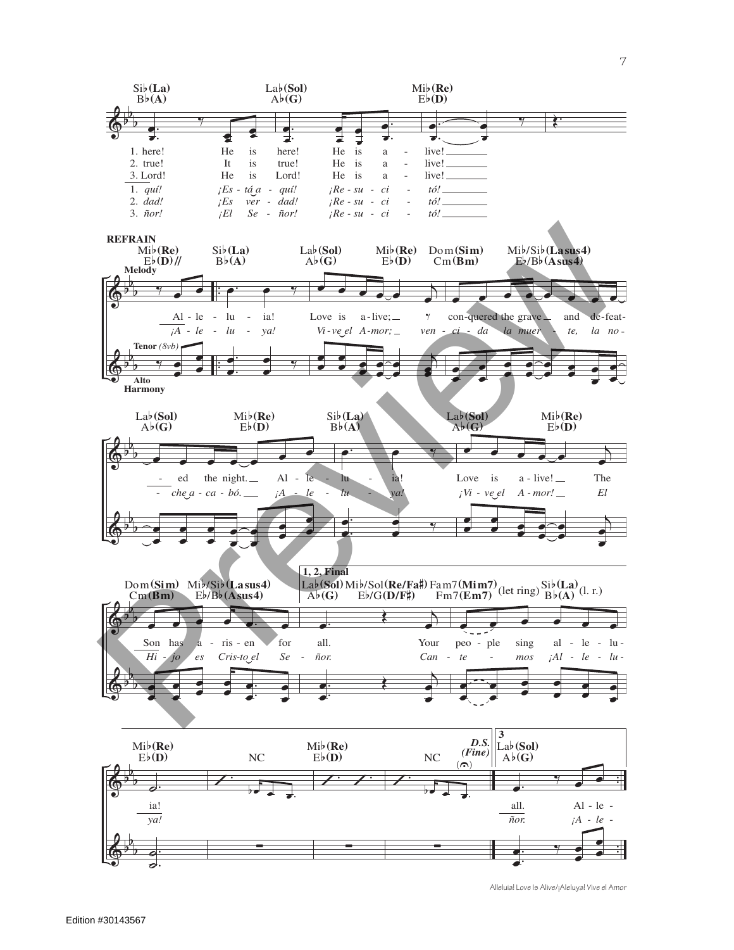